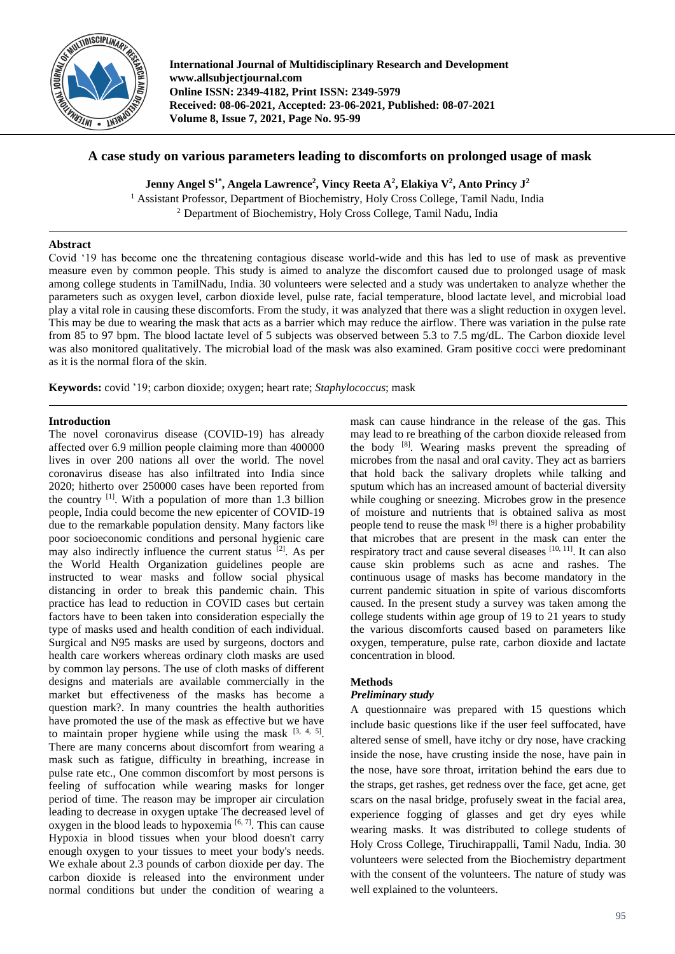

**International Journal of Multidisciplinary Research and Development www.allsubjectjournal.com Online ISSN: 2349-4182, Print ISSN: 2349-5979 Received: 08-06-2021, Accepted: 23-06-2021, Published: 08-07-2021 Volume 8, Issue 7, 2021, Page No. 95-99**

# **A case study on various parameters leading to discomforts on prolonged usage of mask**

**Jenny Angel S1\*, Angela Lawrence<sup>2</sup> , Vincy Reeta A<sup>2</sup> , Elakiya V<sup>2</sup> , Anto Princy J<sup>2</sup>**

<sup>1</sup> Assistant Professor, Department of Biochemistry, Holy Cross College, Tamil Nadu, India <sup>2</sup> Department of Biochemistry, Holy Cross College, Tamil Nadu, India

# **Abstract**

Covid '19 has become one the threatening contagious disease world-wide and this has led to use of mask as preventive measure even by common people. This study is aimed to analyze the discomfort caused due to prolonged usage of mask among college students in TamilNadu, India. 30 volunteers were selected and a study was undertaken to analyze whether the parameters such as oxygen level, carbon dioxide level, pulse rate, facial temperature, blood lactate level, and microbial load play a vital role in causing these discomforts. From the study, it was analyzed that there was a slight reduction in oxygen level. This may be due to wearing the mask that acts as a barrier which may reduce the airflow. There was variation in the pulse rate from 85 to 97 bpm. The blood lactate level of 5 subjects was observed between 5.3 to 7.5 mg/dL. The Carbon dioxide level was also monitored qualitatively. The microbial load of the mask was also examined. Gram positive cocci were predominant as it is the normal flora of the skin.

**Keywords:** covid '19; carbon dioxide; oxygen; heart rate; *Staphylococcus*; mask

# **Introduction**

The novel coronavirus disease (COVID-19) has already affected over 6.9 million people claiming more than 400000 lives in over 200 nations all over the world. The novel coronavirus disease has also infiltrated into India since 2020; hitherto over 250000 cases have been reported from the country [1]. With a population of more than 1.3 billion people, India could become the new epicenter of COVID-19 due to the remarkable population density. Many factors like poor socioeconomic conditions and personal hygienic care may also indirectly influence the current status [2]. As per the World Health Organization guidelines people are instructed to wear masks and follow social physical distancing in order to break this pandemic chain. This practice has lead to reduction in COVID cases but certain factors have to been taken into consideration especially the type of masks used and health condition of each individual. Surgical and N95 masks are used by surgeons, doctors and health care workers whereas ordinary cloth masks are used by common lay persons. The use of cloth masks of different designs and materials are available commercially in the market but effectiveness of the masks has become a question mark?. In many countries the health authorities have promoted the use of the mask as effective but we have to maintain proper hygiene while using the mask  $[3, 4, 5]$ . There are many concerns about discomfort from wearing a mask such as fatigue, difficulty in breathing, increase in pulse rate etc., One common discomfort by most persons is feeling of suffocation while wearing masks for longer period of time. The reason may be improper air circulation leading to decrease in oxygen uptake The decreased level of oxygen in the blood leads to hypoxemia  $[6, 7]$ . This can cause Hypoxia in blood tissues when your blood doesn't carry enough oxygen to your tissues to meet your body's needs. We exhale about 2.3 pounds of carbon dioxide per day. The carbon dioxide is released into the environment under normal conditions but under the condition of wearing a

mask can cause hindrance in the release of the gas. This may lead to re breathing of the carbon dioxide released from the body [8]. Wearing masks prevent the spreading of microbes from the nasal and oral cavity. They act as barriers that hold back the salivary droplets while talking and sputum which has an increased amount of bacterial diversity while coughing or sneezing. Microbes grow in the presence of moisture and nutrients that is obtained saliva as most people tend to reuse the mask  $[9]$  there is a higher probability that microbes that are present in the mask can enter the respiratory tract and cause several diseases [10, 11]. It can also cause skin problems such as acne and rashes. The continuous usage of masks has become mandatory in the current pandemic situation in spite of various discomforts caused. In the present study a survey was taken among the college students within age group of 19 to 21 years to study the various discomforts caused based on parameters like oxygen, temperature, pulse rate, carbon dioxide and lactate concentration in blood.

# **Methods**

# *Preliminary study*

A questionnaire was prepared with 15 questions which include basic questions like if the user feel suffocated, have altered sense of smell, have itchy or dry nose, have cracking inside the nose, have crusting inside the nose, have pain in the nose, have sore throat, irritation behind the ears due to the straps, get rashes, get redness over the face, get acne, get scars on the nasal bridge, profusely sweat in the facial area, experience fogging of glasses and get dry eyes while wearing masks. It was distributed to college students of Holy Cross College, Tiruchirappalli, Tamil Nadu, India. 30 volunteers were selected from the Biochemistry department with the consent of the volunteers. The nature of study was well explained to the volunteers.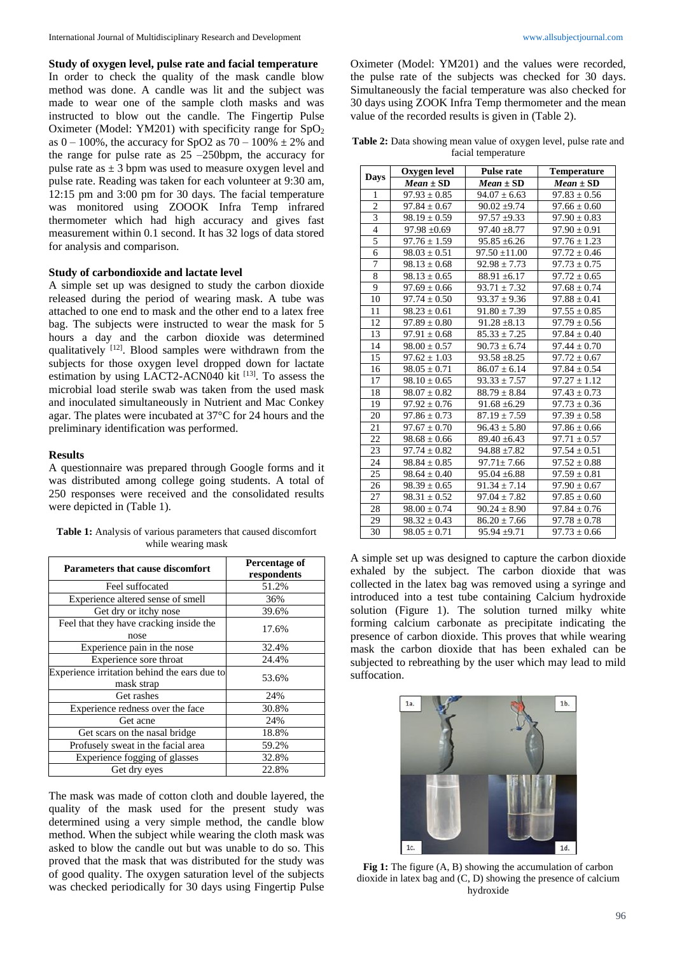**Study of oxygen level, pulse rate and facial temperature** In order to check the quality of the mask candle blow method was done. A candle was lit and the subject was made to wear one of the sample cloth masks and was instructed to blow out the candle. The Fingertip Pulse Oximeter (Model: YM201) with specificity range for  $SpO<sub>2</sub>$ as  $0 - 100\%$ , the accuracy for SpO2 as  $70 - 100\% \pm 2\%$  and the range for pulse rate as  $25 - 250$  bpm, the accuracy for pulse rate as  $\pm$  3 bpm was used to measure oxygen level and pulse rate. Reading was taken for each volunteer at 9:30 am, 12:15 pm and 3:00 pm for 30 days. The facial temperature was monitored using ZOOOK Infra Temp infrared thermometer which had high accuracy and gives fast measurement within 0.1 second. It has 32 logs of data stored for analysis and comparison.

#### **Study of carbondioxide and lactate level**

A simple set up was designed to study the carbon dioxide released during the period of wearing mask. A tube was attached to one end to mask and the other end to a latex free bag. The subjects were instructed to wear the mask for 5 hours a day and the carbon dioxide was determined qualitatively [12]. Blood samples were withdrawn from the subjects for those oxygen level dropped down for lactate estimation by using LACT2-ACN040 kit [13]. To assess the microbial load sterile swab was taken from the used mask and inoculated simultaneously in Nutrient and Mac Conkey agar. The plates were incubated at 37°C for 24 hours and the preliminary identification was performed.

#### **Results**

A questionnaire was prepared through Google forms and it was distributed among college going students. A total of 250 responses were received and the consolidated results were depicted in (Table 1).

**Table 1:** Analysis of various parameters that caused discomfort while wearing mask

| <b>Parameters that cause discomfort</b>                    | Percentage of<br>respondents |
|------------------------------------------------------------|------------------------------|
| Feel suffocated                                            | 51.2%                        |
| Experience altered sense of smell                          | 36%                          |
| Get dry or itchy nose                                      | 39.6%                        |
| Feel that they have cracking inside the<br>nose            | 17.6%                        |
| Experience pain in the nose                                | 32.4%                        |
| Experience sore throat                                     | 24.4%                        |
| Experience irritation behind the ears due to<br>mask strap | 53.6%                        |
| Get rashes                                                 | 24%                          |
| Experience redness over the face                           | 30.8%                        |
| Get acne                                                   | 24%                          |
| Get scars on the nasal bridge                              | 18.8%                        |
| Profusely sweat in the facial area                         | 59.2%                        |
| Experience fogging of glasses                              | 32.8%                        |
| Get dry eyes                                               | 22.8%                        |

The mask was made of cotton cloth and double layered, the quality of the mask used for the present study was determined using a very simple method, the candle blow method. When the subject while wearing the cloth mask was asked to blow the candle out but was unable to do so. This proved that the mask that was distributed for the study was of good quality. The oxygen saturation level of the subjects was checked periodically for 30 days using Fingertip Pulse

Oximeter (Model: YM201) and the values were recorded, the pulse rate of the subjects was checked for 30 days. Simultaneously the facial temperature was also checked for 30 days using ZOOK Infra Temp thermometer and the mean value of the recorded results is given in (Table 2).

**Table 2:** Data showing mean value of oxygen level, pulse rate and facial temperature

| <b>Days</b>             | Oxygen level     | <b>Pulse rate</b> | <b>Temperature</b> |
|-------------------------|------------------|-------------------|--------------------|
|                         | $Mean \pm SD$    | $Mean \pm SD$     | $Mean \pm SD$      |
| 1                       | $97.93 \pm 0.85$ | $94.07 \pm 6.63$  | $97.83 \pm 0.56$   |
| $\overline{c}$          | $97.84 \pm 0.67$ | $90.02 \pm 9.74$  | $97.66 \pm 0.60$   |
| $\overline{\mathbf{3}}$ | $98.19 \pm 0.59$ | $97.57 \pm 9.33$  | $97.90 \pm 0.83$   |
| $\overline{4}$          | $97.98 \pm 0.69$ | $97.40 \pm 8.77$  | $97.90 \pm 0.91$   |
| 5                       | $97.76 \pm 1.59$ | $95.85 \pm 6.26$  | $97.76 \pm 1.23$   |
| 6                       | $98.03 \pm 0.51$ | $97.50 \pm 11.00$ | $97.72 \pm 0.46$   |
| 7                       | $98.13 \pm 0.68$ | $92.98 \pm 7.73$  | $97.73 \pm 0.75$   |
| $\overline{8}$          | $98.13 \pm 0.65$ | $88.91 \pm 6.17$  | $97.72 \pm 0.65$   |
| 9                       | $97.69 \pm 0.66$ | $93.71 \pm 7.32$  | $97.68 \pm 0.74$   |
| 10                      | $97.74 \pm 0.50$ | $93.37 \pm 9.36$  | $97.88 \pm 0.41$   |
| 11                      | $98.23 \pm 0.61$ | $91.80 \pm 7.39$  | $97.55 \pm 0.85$   |
| 12                      | $97.89 \pm 0.80$ | $91.28 \pm 8.13$  | $97.79 \pm 0.56$   |
| 13                      | $97.91 \pm 0.68$ | $85.33 \pm 7.25$  | $97.84 \pm 0.40$   |
| 14                      | $98.00 \pm 0.57$ | $90.73 \pm 6.74$  | $97.44 \pm 0.70$   |
| 15                      | $97.62 \pm 1.03$ | $93.58 \pm 8.25$  | $97.72 \pm 0.67$   |
| 16                      | $98.05 \pm 0.71$ | $86.07 \pm 6.14$  | $97.84 \pm 0.54$   |
| 17                      | $98.10 \pm 0.65$ | $93.33 \pm 7.57$  | $97.27 \pm 1.12$   |
| 18                      | $98.07 \pm 0.82$ | $88.79 \pm 8.84$  | $97.43 \pm 0.73$   |
| 19                      | $97.92 \pm 0.76$ | $91.68 \pm 6.29$  | $97.73 \pm 0.36$   |
| 20                      | $97.86 \pm 0.73$ | $87.19 \pm 7.59$  | $97.39 \pm 0.58$   |
| 21                      | $97.67 \pm 0.70$ | $96.43 \pm 5.80$  | $97.86 \pm 0.66$   |
| $\overline{22}$         | $98.68 \pm 0.66$ | $89.40 \pm 6.43$  | $97.71 \pm 0.57$   |
| 23                      | $97.74 \pm 0.82$ | $94.88 \pm 7.82$  | $97.54 \pm 0.51$   |
| 24                      | $98.84 \pm 0.85$ | $97.71 \pm 7.66$  | $97.52 \pm 0.88$   |
| 25                      | $98.64 \pm 0.40$ | $95.04 \pm 6.88$  | $97.59 \pm 0.81$   |
| 26                      | $98.39 \pm 0.65$ | $91.34 \pm 7.14$  | $97.90 \pm 0.67$   |
| 27                      | $98.31 \pm 0.52$ | $97.04 \pm 7.82$  | $97.85 \pm 0.60$   |
| 28                      | $98.00 \pm 0.74$ | $90.24 \pm 8.90$  | $97.84 \pm 0.76$   |
| 29                      | $98.32 \pm 0.43$ | $86.20 \pm 7.66$  | $97.78 \pm 0.78$   |
| 30                      | $98.05 \pm 0.71$ | $95.94 \pm 9.71$  | $97.73 \pm 0.66$   |

A simple set up was designed to capture the carbon dioxide exhaled by the subject. The carbon dioxide that was collected in the latex bag was removed using a syringe and introduced into a test tube containing Calcium hydroxide solution (Figure 1). The solution turned milky white forming calcium carbonate as precipitate indicating the presence of carbon dioxide. This proves that while wearing mask the carbon dioxide that has been exhaled can be subjected to rebreathing by the user which may lead to mild suffocation.



**Fig 1:** The figure (A, B) showing the accumulation of carbon dioxide in latex bag and (C, D) showing the presence of calcium hydroxide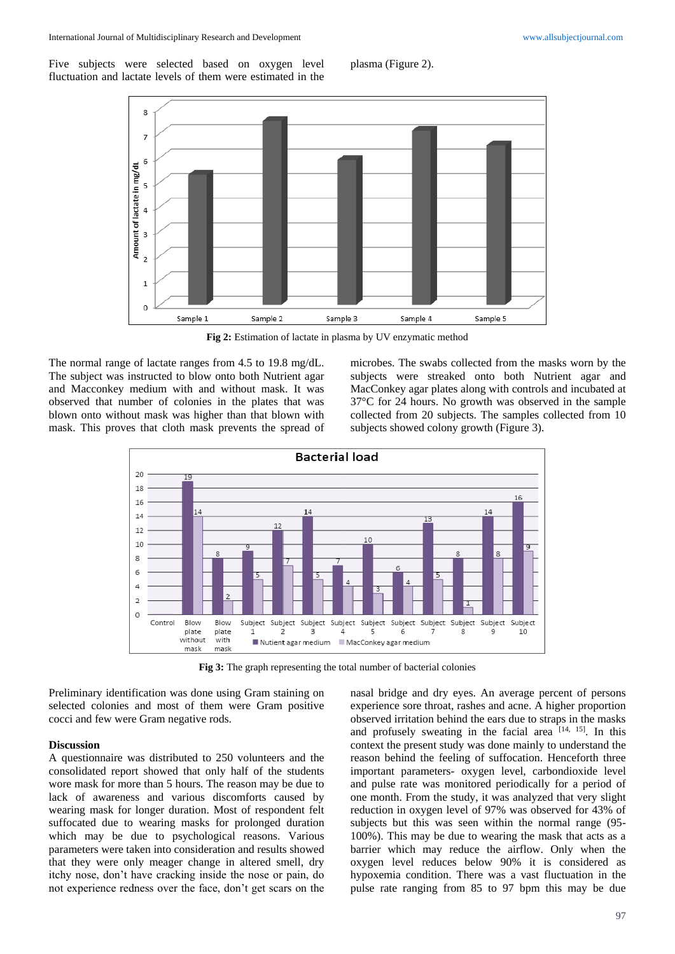Five subjects were selected based on oxygen level fluctuation and lactate levels of them were estimated in the

plasma (Figure 2).



**Fig 2:** Estimation of lactate in plasma by UV enzymatic method

The normal range of lactate ranges from 4.5 to 19.8 mg/dL. The subject was instructed to blow onto both Nutrient agar and Macconkey medium with and without mask. It was observed that number of colonies in the plates that was blown onto without mask was higher than that blown with mask. This proves that cloth mask prevents the spread of

microbes. The swabs collected from the masks worn by the subjects were streaked onto both Nutrient agar and MacConkey agar plates along with controls and incubated at 37°C for 24 hours. No growth was observed in the sample collected from 20 subjects. The samples collected from 10 subjects showed colony growth (Figure 3).



**Fig 3:** The graph representing the total number of bacterial colonies

Preliminary identification was done using Gram staining on selected colonies and most of them were Gram positive cocci and few were Gram negative rods.

#### **Discussion**

A questionnaire was distributed to 250 volunteers and the consolidated report showed that only half of the students wore mask for more than 5 hours. The reason may be due to lack of awareness and various discomforts caused by wearing mask for longer duration. Most of respondent felt suffocated due to wearing masks for prolonged duration which may be due to psychological reasons. Various parameters were taken into consideration and results showed that they were only meager change in altered smell, dry itchy nose, don't have cracking inside the nose or pain, do not experience redness over the face, don't get scars on the

nasal bridge and dry eyes. An average percent of persons experience sore throat, rashes and acne. A higher proportion observed irritation behind the ears due to straps in the masks and profusely sweating in the facial area  $[14, 15]$ . In this context the present study was done mainly to understand the reason behind the feeling of suffocation. Henceforth three important parameters- oxygen level, carbondioxide level and pulse rate was monitored periodically for a period of one month. From the study, it was analyzed that very slight reduction in oxygen level of 97% was observed for 43% of subjects but this was seen within the normal range (95- 100%). This may be due to wearing the mask that acts as a barrier which may reduce the airflow. Only when the oxygen level reduces below 90% it is considered as hypoxemia condition. There was a vast fluctuation in the pulse rate ranging from 85 to 97 bpm this may be due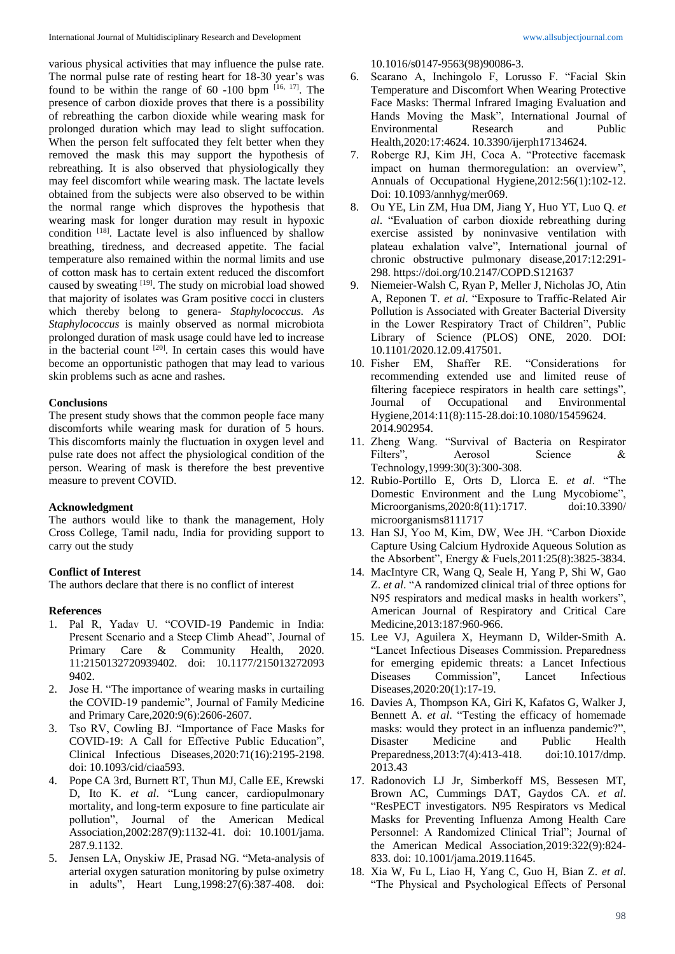various physical activities that may influence the pulse rate. The normal pulse rate of resting heart for 18-30 year's was found to be within the range of  $60 -100$  bpm  $[16, 17]$ . The presence of carbon dioxide proves that there is a possibility of rebreathing the carbon dioxide while wearing mask for prolonged duration which may lead to slight suffocation. When the person felt suffocated they felt better when they removed the mask this may support the hypothesis of rebreathing. It is also observed that physiologically they may feel discomfort while wearing mask. The lactate levels obtained from the subjects were also observed to be within the normal range which disproves the hypothesis that wearing mask for longer duration may result in hypoxic condition [18]. Lactate level is also influenced by shallow breathing, tiredness, and decreased appetite. The facial temperature also remained within the normal limits and use of cotton mask has to certain extent reduced the discomfort caused by sweating [19]. The study on microbial load showed that majority of isolates was Gram positive cocci in clusters which thereby belong to genera- *Staphylococcus. As Staphylococcus* is mainly observed as normal microbiota prolonged duration of mask usage could have led to increase in the bacterial count <sup>[20]</sup>. In certain cases this would have become an opportunistic pathogen that may lead to various skin problems such as acne and rashes.

### **Conclusions**

The present study shows that the common people face many discomforts while wearing mask for duration of 5 hours. This discomforts mainly the fluctuation in oxygen level and pulse rate does not affect the physiological condition of the person. Wearing of mask is therefore the best preventive measure to prevent COVID.

### **Acknowledgment**

The authors would like to thank the management, Holy Cross College, Tamil nadu, India for providing support to carry out the study

### **Conflict of Interest**

The authors declare that there is no conflict of interest

### **References**

- 1. Pal R, Yadav U. "COVID-19 Pandemic in India: Present Scenario and a Steep Climb Ahead", Journal of Primary Care & Community Health, 2020. 11:2150132720939402. doi: 10.1177/215013272093 9402.
- 2. Jose H. "The importance of wearing masks in curtailing the COVID-19 pandemic", Journal of Family Medicine and Primary Care,2020:9(6):2606-2607.
- 3. Tso RV, Cowling BJ. "Importance of Face Masks for COVID-19: A Call for Effective Public Education", Clinical Infectious Diseases,2020:71(16):2195-2198. doi: 10.1093/cid/ciaa593.
- 4. Pope CA 3rd, Burnett RT, Thun MJ, Calle EE, Krewski D, Ito K. *et al*. "Lung cancer, cardiopulmonary mortality, and long-term exposure to fine particulate air pollution", Journal of the American Medical Association,2002:287(9):1132-41. doi: 10.1001/jama. 287.9.1132.
- 5. Jensen LA, Onyskiw JE, Prasad NG. "Meta-analysis of arterial oxygen saturation monitoring by pulse oximetry in adults", Heart Lung,1998:27(6):387-408. doi:

10.1016/s0147-9563(98)90086-3.

- 6. Scarano A, Inchingolo F, Lorusso F. "Facial Skin Temperature and Discomfort When Wearing Protective Face Masks: Thermal Infrared Imaging Evaluation and Hands Moving the Mask", International Journal of Environmental Research and Public Health,2020:17:4624. 10.3390/ijerph17134624.
- 7. Roberge RJ, Kim JH, Coca A. "Protective facemask impact on human thermoregulation: an overview", Annuals of Occupational Hygiene,2012:56(1):102-12. Doi: 10.1093/annhyg/mer069.
- 8. Ou YE, Lin ZM, Hua DM, Jiang Y, Huo YT, Luo Q. *et al*. "Evaluation of carbon dioxide rebreathing during exercise assisted by noninvasive ventilation with plateau exhalation valve", International journal of chronic obstructive pulmonary disease,2017:12:291- 298. https://doi.org/10.2147/COPD.S121637
- 9. Niemeier-Walsh C, Ryan P, Meller J, Nicholas JO, Atin A, Reponen T. *et al*. "Exposure to Traffic-Related Air Pollution is Associated with Greater Bacterial Diversity in the Lower Respiratory Tract of Children", Public Library of Science (PLOS) ONE, 2020. DOI: 10.1101/2020.12.09.417501.
- 10. Fisher EM, Shaffer RE. "Considerations for recommending extended use and limited reuse of filtering facepiece respirators in health care settings", Journal of Occupational and Environmental Hygiene,2014:11(8):115-28.doi:10.1080/15459624. 2014.902954.
- 11. Zheng Wang. "Survival of Bacteria on Respirator Filters", Aerosol Science & Technology,1999:30(3):300-308.
- 12. Rubio-Portillo E, Orts D, Llorca E. *et al*. "The Domestic Environment and the Lung Mycobiome", Microorganisms,2020:8(11):1717. doi:10.3390/ microorganisms8111717
- 13. Han SJ, Yoo M, Kim, DW, Wee JH. "Carbon Dioxide Capture Using Calcium Hydroxide Aqueous Solution as the Absorbent", Energy & Fuels,2011:25(8):3825-3834.
- 14. MacIntyre CR, Wang Q, Seale H, Yang P, Shi W, Gao Z. *et al*. "A randomized clinical trial of three options for N95 respirators and medical masks in health workers", American Journal of Respiratory and Critical Care Medicine,2013:187:960-966.
- 15. Lee VJ, Aguilera X, Heymann D, Wilder-Smith A. "Lancet Infectious Diseases Commission. Preparedness for emerging epidemic threats: a Lancet Infectious Diseases Commission", Lancet Infectious Diseases,2020:20(1):17-19.
- 16. Davies A, Thompson KA, Giri K, Kafatos G, Walker J, Bennett A. *et al*. "Testing the efficacy of homemade masks: would they protect in an influenza pandemic?", Disaster Medicine and Public Health Preparedness,2013:7(4):413-418. doi:10.1017/dmp. 2013.43
- 17. Radonovich LJ Jr, Simberkoff MS, Bessesen MT, Brown AC, Cummings DAT, Gaydos CA. *et al*. "ResPECT investigators. N95 Respirators vs Medical Masks for Preventing Influenza Among Health Care Personnel: A Randomized Clinical Trial"; Journal of the American Medical Association,2019:322(9):824- 833. doi: 10.1001/jama.2019.11645.
- 18. Xia W, Fu L, Liao H, Yang C, Guo H, Bian Z. *et al*. "The Physical and Psychological Effects of Personal